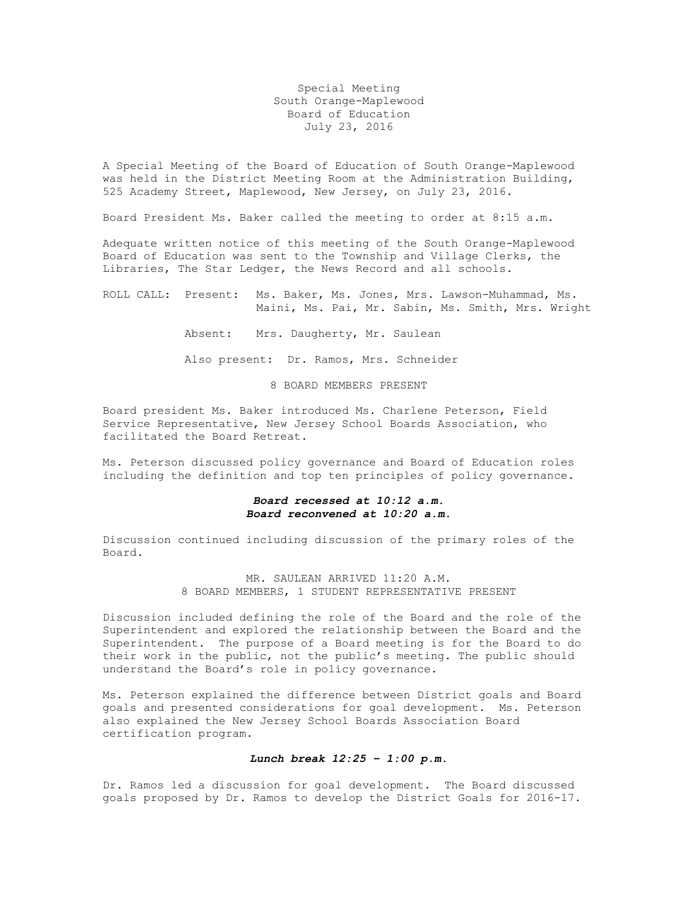Special Meeting South Orange-Maplewood Board of Education July 23, 2016

A Special Meeting of the Board of Education of South Orange-Maplewood was held in the District Meeting Room at the Administration Building, 525 Academy Street, Maplewood, New Jersey, on July 23, 2016.

Board President Ms. Baker called the meeting to order at 8:15 a.m.

Adequate written notice of this meeting of the South Orange-Maplewood Board of Education was sent to the Township and Village Clerks, the Libraries, The Star Ledger, the News Record and all schools.

ROLL CALL: Present: Ms. Baker, Ms. Jones, Mrs. Lawson-Muhammad, Ms. Maini, Ms. Pai, Mr. Sabin, Ms. Smith, Mrs. Wright

Absent: Mrs. Daugherty, Mr. Saulean

Also present: Dr. Ramos, Mrs. Schneider

8 BOARD MEMBERS PRESENT

Board president Ms. Baker introduced Ms. Charlene Peterson, Field Service Representative, New Jersey School Boards Association, who facilitated the Board Retreat.

Ms. Peterson discussed policy governance and Board of Education roles including the definition and top ten principles of policy governance.

## *Board recessed at 10:12 a.m. Board reconvened at 10:20 a.m.*

Discussion continued including discussion of the primary roles of the Board.

> MR. SAULEAN ARRIVED 11:20 A.M. 8 BOARD MEMBERS, 1 STUDENT REPRESENTATIVE PRESENT

Discussion included defining the role of the Board and the role of the Superintendent and explored the relationship between the Board and the Superintendent. The purpose of a Board meeting is for the Board to do their work in the public, not the public's meeting. The public should understand the Board's role in policy governance.

Ms. Peterson explained the difference between District goals and Board goals and presented considerations for goal development. Ms. Peterson also explained the New Jersey School Boards Association Board certification program.

## *Lunch break 12:25 – 1:00 p.m.*

Dr. Ramos led a discussion for goal development. The Board discussed goals proposed by Dr. Ramos to develop the District Goals for 2016-17.